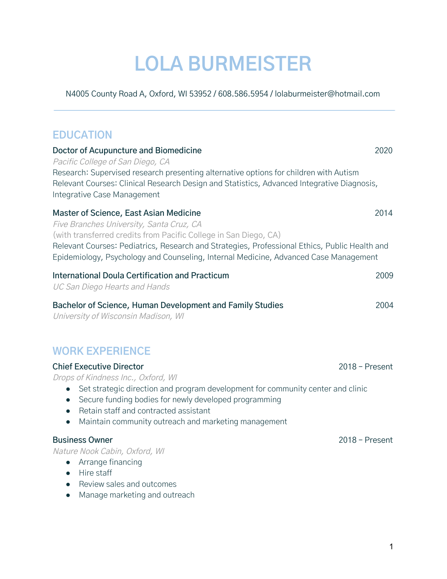# **LOLA BURMEISTER**

N4005 County Road A, Oxford, WI 53952 / 608.586.5954 / lolaburmeister@hotmail.com

## **EDUCATION**

| Doctor of Acupuncture and Biomedicine<br>Pacific College of San Diego, CA<br>Research: Supervised research presenting alternative options for children with Autism<br>Relevant Courses: Clinical Research Design and Statistics, Advanced Integrative Diagnosis,<br>Integrative Case Management                                                                                            | 2020 |
|--------------------------------------------------------------------------------------------------------------------------------------------------------------------------------------------------------------------------------------------------------------------------------------------------------------------------------------------------------------------------------------------|------|
| Master of Science, East Asian Medicine<br>Five Branches University, Santa Cruz, CA<br>(with transferred credits from Pacific College in San Diego, CA)<br>Relevant Courses: Pediatrics, Research and Strategies, Professional Ethics, Public Health and<br>Epidemiology, Psychology and Counseling, Internal Medicine, Advanced Case Management                                            | 2014 |
| International Doula Certification and Practicum<br>UC San Diego Hearts and Hands                                                                                                                                                                                                                                                                                                           | 2009 |
| Bachelor of Science, Human Development and Family Studies<br>University of Wisconsin Madison, WI                                                                                                                                                                                                                                                                                           | 2004 |
| <b>WORK EXPERIENCE</b>                                                                                                                                                                                                                                                                                                                                                                     |      |
| <b>Chief Executive Director</b><br>$2018$ – Present<br>Drops of Kindness Inc., Oxford, WI<br>Set strategic direction and program development for community center and clinic<br>$\bullet$<br>Secure funding bodies for newly developed programming<br>$\bullet$<br>Retain staff and contracted assistant<br>$\bullet$<br>Maintain community outreach and marketing management<br>$\bullet$ |      |

#### **Business Owner** 2018 – Present

Nature Nook Cabin, Oxford, WI

- Arrange financing
- Hire staff
- Review sales and outcomes
- Manage marketing and outreach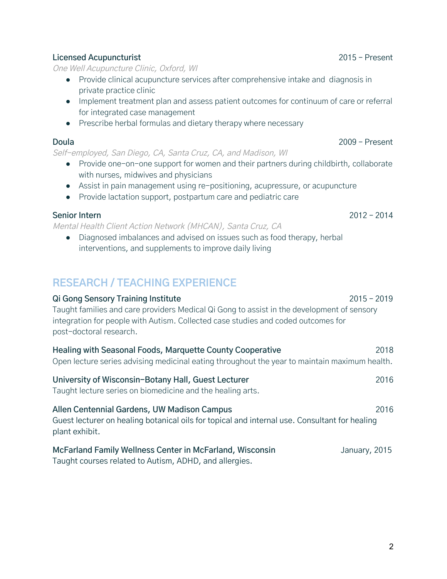#### **Licensed Acupuncturist** 2015 – Present

One Well Acupuncture Clinic, Oxford, WI

- Provide clinical acupuncture services after comprehensive intake and diagnosis in private practice clinic
- Implement treatment plan and assess patient outcomes for continuum of care or referral for integrated case management
- Prescribe herbal formulas and dietary therapy where necessary

#### **Doula** 2009 – Present

Self-employed, San Diego, CA, Santa Cruz, CA, and Madison, WI

- Provide one-on-one support for women and their partners during childbirth, collaborate with nurses, midwives and physicians
- Assist in pain management using re-positioning, acupressure, or acupuncture
- Provide lactation support, postpartum care and pediatric care

#### **Senior Intern** 2012 – 2014

Mental Health Client Action Network (MHCAN), Santa Cruz, CA

● Diagnosed imbalances and advised on issues such as food therapy, herbal interventions, and supplements to improve daily living

## **RESEARCH / TEACHING EXPERIENCE**

| Qi Gong Sensory Training Institute                                                                                                                                                                         | $2015 - 2019$ |
|------------------------------------------------------------------------------------------------------------------------------------------------------------------------------------------------------------|---------------|
| Taught families and care providers Medical Qi Gong to assist in the development of sensory<br>integration for people with Autism. Collected case studies and coded outcomes for<br>post-doctoral research. |               |
| Healing with Seasonal Foods, Marquette County Cooperative<br>Open lecture series advising medicinal eating throughout the year to maintain maximum health.                                                 | 2018          |
| University of Wisconsin-Botany Hall, Guest Lecturer<br>Taught lecture series on biomedicine and the healing arts.                                                                                          | 2016          |
| Allen Centennial Gardens, UW Madison Campus<br>Guest lecturer on healing botanical oils for topical and internal use. Consultant for healing<br>plant exhibit.                                             | 2016          |
| McFarland Family Wellness Center in McFarland, Wisconsin<br>Taught courses related to Autism, ADHD, and allergies.                                                                                         | January, 2015 |